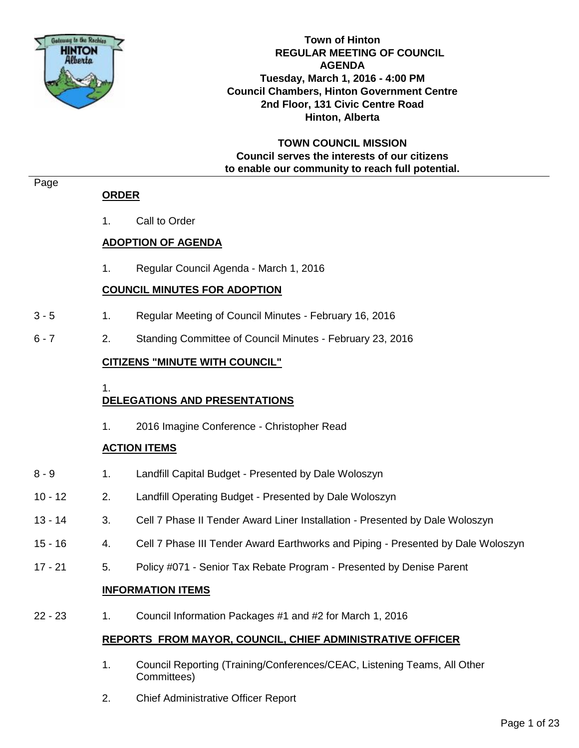

**Town of Hinton REGULAR MEETING OF COUNCIL AGENDA Tuesday, March 1, 2016 - 4:00 PM Council Chambers, Hinton Government Centre 2nd Floor, 131 Civic Centre Road Hinton, Alberta**

**TOWN COUNCIL MISSION Council serves the interests of our citizens to enable our community to reach full potential.**

#### Page

## **ORDER**

1. Call to Order

## **ADOPTION OF AGENDA**

1. Regular Council Agenda - March 1, 2016

## **COUNCIL MINUTES FOR ADOPTION**

- 3 5 1. Regular Meeting of Council Minutes February 16, 2016
- 6 7 2. Standing Committee of Council Minutes February 23, 2016

## **CITIZENS "MINUTE WITH COUNCIL"**

#### 1.

## **DELEGATIONS AND PRESENTATIONS**

1. 2016 Imagine Conference - Christopher Read

## **ACTION ITEMS**

- 8 9 1. Landfill Capital Budget Presented by Dale Woloszyn
- 10 12 2. Landfill Operating Budget Presented by Dale Woloszyn
- 13 14 3. Cell 7 Phase II Tender Award Liner Installation Presented by Dale Woloszyn
- 15 16 4. Cell 7 Phase III Tender Award Earthworks and Piping Presented by Dale Woloszyn
- 17 21 5. Policy #071 Senior Tax Rebate Program Presented by Denise Parent

## **INFORMATION ITEMS**

22 - 23 1. Council Information Packages #1 and #2 for March 1, 2016

## **REPORTS FROM MAYOR, COUNCIL, CHIEF ADMINISTRATIVE OFFICER**

- 1. Council Reporting (Training/Conferences/CEAC, Listening Teams, All Other Committees)
- 2. Chief Administrative Officer Report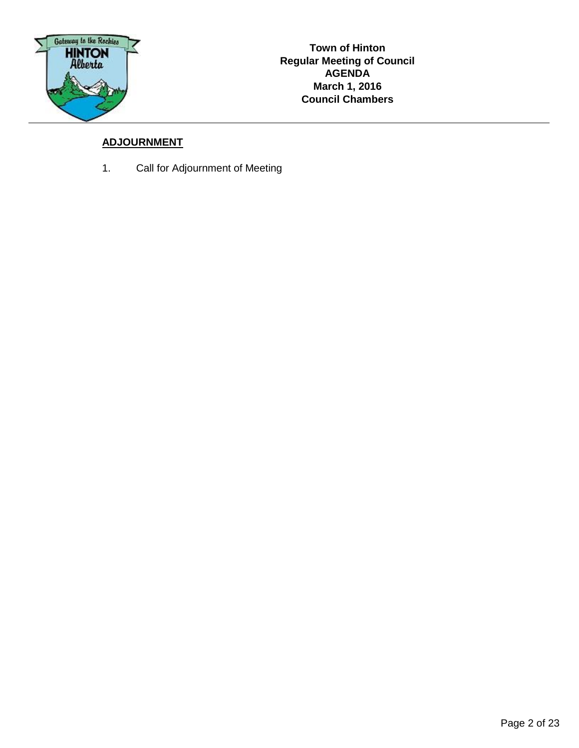

## **ADJOURNMENT**

1. Call for Adjournment of Meeting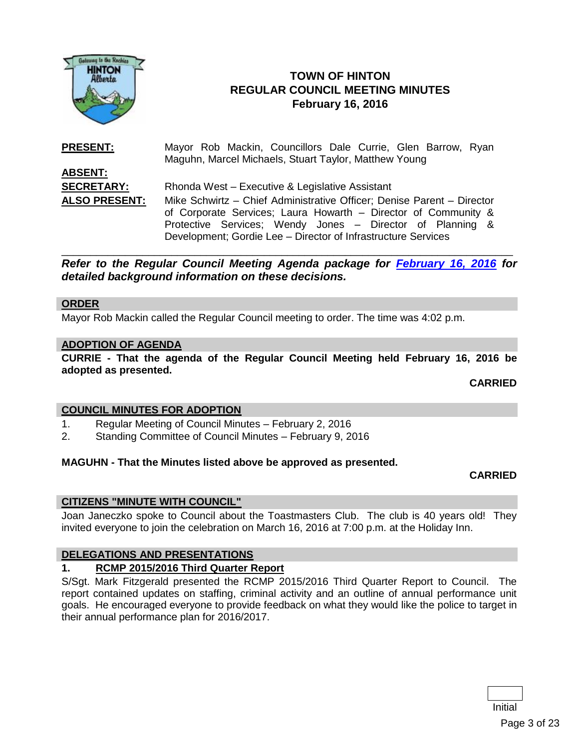

## **TOWN OF HINTON REGULAR COUNCIL MEETING MINUTES February 16, 2016**

**PRESENT:** Mayor Rob Mackin, Councillors Dale Currie, Glen Barrow, Ryan Maguhn, Marcel Michaels, Stuart Taylor, Matthew Young **ABSENT: SECRETARY:** Rhonda West – Executive & Legislative Assistant **ALSO PRESENT:** Mike Schwirtz – Chief Administrative Officer; Denise Parent – Director of Corporate Services; Laura Howarth – Director of Community & Protective Services; Wendy Jones – Director of Planning & Development; Gordie Lee – Director of Infrastructure Services

*Refer to the Regular Council Meeting Agenda package for [February 16, 2016](http://www.hinton.ca/ArchiveCenter/ViewFile/Item/1651) for detailed background information on these decisions.*

\_\_\_\_\_\_\_\_\_\_\_\_\_\_\_\_\_\_\_\_\_\_\_\_\_\_\_\_\_\_\_\_\_\_\_\_\_\_\_\_\_\_\_\_\_\_\_\_\_\_\_\_\_\_\_\_\_\_\_\_\_\_\_\_\_\_\_\_\_\_\_\_\_\_\_\_\_\_

#### **ORDER**

Mayor Rob Mackin called the Regular Council meeting to order. The time was 4:02 p.m.

#### **ADOPTION OF AGENDA**

**CURRIE - That the agenda of the Regular Council Meeting held February 16, 2016 be adopted as presented.**

**CARRIED**

#### **COUNCIL MINUTES FOR ADOPTION**

- 1. Regular Meeting of Council Minutes February 2, 2016
- 2. Standing Committee of Council Minutes February 9, 2016

#### **MAGUHN - That the Minutes listed above be approved as presented.**

#### **CARRIED**

#### **CITIZENS "MINUTE WITH COUNCIL"**

Joan Janeczko spoke to Council about the Toastmasters Club. The club is 40 years old! They invited everyone to join the celebration on March 16, 2016 at 7:00 p.m. at the Holiday Inn.

#### **DELEGATIONS AND PRESENTATIONS**

#### **1. RCMP 2015/2016 Third Quarter Report**

S/Sgt. Mark Fitzgerald presented the RCMP 2015/2016 Third Quarter Report to Council. The report contained updates on staffing, criminal activity and an outline of annual performance unit goals. He encouraged everyone to provide feedback on what they would like the police to target in their annual performance plan for 2016/2017.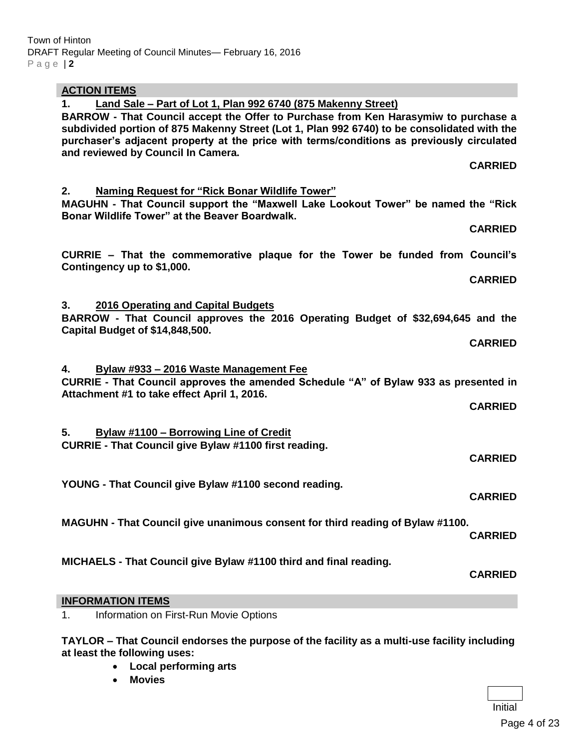| <b>ACTION ITEMS</b>                                                                                                                                                                                                                                                                                                                                                                               |                |
|---------------------------------------------------------------------------------------------------------------------------------------------------------------------------------------------------------------------------------------------------------------------------------------------------------------------------------------------------------------------------------------------------|----------------|
| $1_{-}$<br>Land Sale – Part of Lot 1, Plan 992 6740 (875 Makenny Street)<br>BARROW - That Council accept the Offer to Purchase from Ken Harasymiw to purchase a<br>subdivided portion of 875 Makenny Street (Lot 1, Plan 992 6740) to be consolidated with the<br>purchaser's adjacent property at the price with terms/conditions as previously circulated<br>and reviewed by Council In Camera. |                |
|                                                                                                                                                                                                                                                                                                                                                                                                   | <b>CARRIED</b> |
| <b>Naming Request for "Rick Bonar Wildlife Tower"</b><br>2.<br>MAGUHN - That Council support the "Maxwell Lake Lookout Tower" be named the "Rick<br>Bonar Wildlife Tower" at the Beaver Boardwalk.                                                                                                                                                                                                |                |
|                                                                                                                                                                                                                                                                                                                                                                                                   | <b>CARRIED</b> |
| CURRIE – That the commemorative plaque for the Tower be funded from Council's<br>Contingency up to \$1,000.                                                                                                                                                                                                                                                                                       |                |
|                                                                                                                                                                                                                                                                                                                                                                                                   | <b>CARRIED</b> |
| 2016 Operating and Capital Budgets<br>3.<br>BARROW - That Council approves the 2016 Operating Budget of \$32,694,645 and the<br>Capital Budget of \$14,848,500.                                                                                                                                                                                                                                   |                |
|                                                                                                                                                                                                                                                                                                                                                                                                   | <b>CARRIED</b> |
| 4.<br>Bylaw #933 - 2016 Waste Management Fee<br>CURRIE - That Council approves the amended Schedule "A" of Bylaw 933 as presented in<br>Attachment #1 to take effect April 1, 2016.                                                                                                                                                                                                               |                |
|                                                                                                                                                                                                                                                                                                                                                                                                   | <b>CARRIED</b> |
| 5.<br><b>Bylaw #1100 - Borrowing Line of Credit</b><br><b>CURRIE - That Council give Bylaw #1100 first reading.</b>                                                                                                                                                                                                                                                                               |                |
|                                                                                                                                                                                                                                                                                                                                                                                                   | <b>CARRIED</b> |
| YOUNG - That Council give Bylaw #1100 second reading.                                                                                                                                                                                                                                                                                                                                             | <b>CARRIED</b> |
| MAGUHN - That Council give unanimous consent for third reading of Bylaw #1100.                                                                                                                                                                                                                                                                                                                    | <b>CARRIED</b> |
| MICHAELS - That Council give Bylaw #1100 third and final reading.                                                                                                                                                                                                                                                                                                                                 | <b>CARRIED</b> |
| <b>INFORMATION ITEMS</b>                                                                                                                                                                                                                                                                                                                                                                          |                |
| Information on First-Run Movie Options<br>1.                                                                                                                                                                                                                                                                                                                                                      |                |

**TAYLOR – That Council endorses the purpose of the facility as a multi-use facility including at least the following uses:**

- **Local performing arts**
- **Movies**

Initial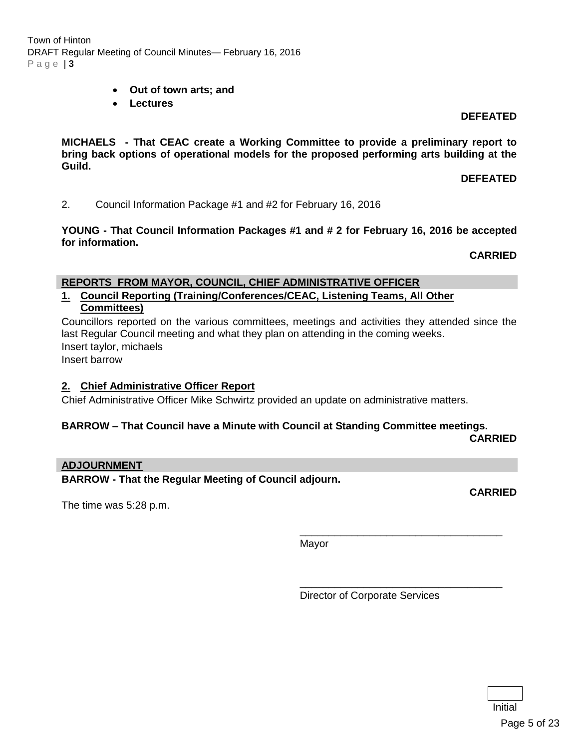Town of Hinton DRAFT Regular Meeting of Council Minutes— February 16, 2016 P a g e | **3**

- **Out of town arts; and**
- **Lectures**

**DEFEATED**

**MICHAELS - That CEAC create a Working Committee to provide a preliminary report to bring back options of operational models for the proposed performing arts building at the Guild.**

**DEFEATED**

2. Council Information Package #1 and #2 for February 16, 2016

**YOUNG - That Council Information Packages #1 and # 2 for February 16, 2016 be accepted for information.**

**CARRIED**

#### **REPORTS FROM MAYOR, COUNCIL, CHIEF ADMINISTRATIVE OFFICER**

**1. Council Reporting (Training/Conferences/CEAC, Listening Teams, All Other Committees)**

Councillors reported on the various committees, meetings and activities they attended since the last Regular Council meeting and what they plan on attending in the coming weeks. Insert taylor, michaels

Insert barrow

## **2. Chief Administrative Officer Report**

Chief Administrative Officer Mike Schwirtz provided an update on administrative matters.

#### **BARROW – That Council have a Minute with Council at Standing Committee meetings.**

**CARRIED**

#### **ADJOURNMENT**

**BARROW - That the Regular Meeting of Council adjourn.**

The time was 5:28 p.m.

**CARRIED**

Mayor

Director of Corporate Services

\_\_\_\_\_\_\_\_\_\_\_\_\_\_\_\_\_\_\_\_\_\_\_\_\_\_\_\_\_\_\_\_\_\_\_

\_\_\_\_\_\_\_\_\_\_\_\_\_\_\_\_\_\_\_\_\_\_\_\_\_\_\_\_\_\_\_\_\_\_\_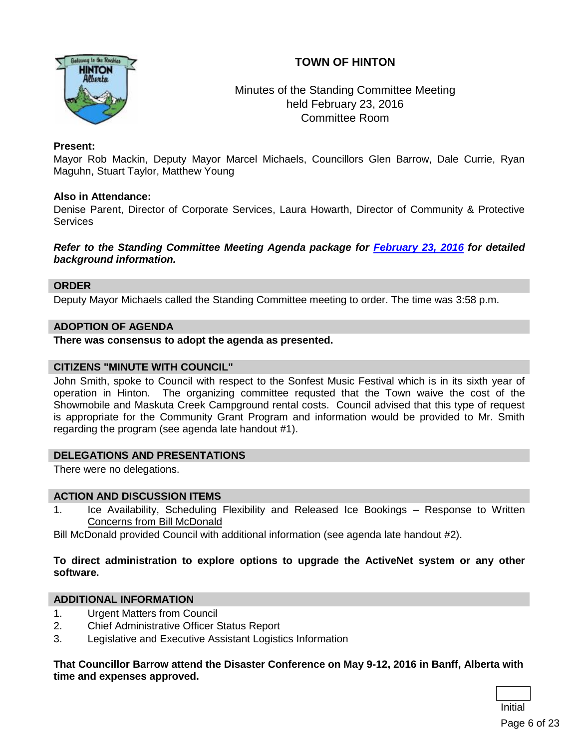## **TOWN OF HINTON**



## Minutes of the Standing Committee Meeting held February 23, 2016 Committee Room

## **Present:**

Mayor Rob Mackin, Deputy Mayor Marcel Michaels, Councillors Glen Barrow, Dale Currie, Ryan Maguhn, Stuart Taylor, Matthew Young

#### **Also in Attendance:**

Denise Parent, Director of Corporate Services, Laura Howarth, Director of Community & Protective **Services** 

*Refer to the Standing Committee Meeting Agenda package for [February 23, 2016](http://www.hinton.ca/ArchiveCenter/ViewFile/Item/1652) for detailed background information.*

#### **ORDER**

Deputy Mayor Michaels called the Standing Committee meeting to order. The time was 3:58 p.m.

#### **ADOPTION OF AGENDA**

**There was consensus to adopt the agenda as presented.**

#### **CITIZENS "MINUTE WITH COUNCIL"**

John Smith, spoke to Council with respect to the Sonfest Music Festival which is in its sixth year of operation in Hinton. The organizing committee requsted that the Town waive the cost of the Showmobile and Maskuta Creek Campground rental costs. Council advised that this type of request is appropriate for the Community Grant Program and information would be provided to Mr. Smith regarding the program (see agenda late handout #1).

## **DELEGATIONS AND PRESENTATIONS**

There were no delegations.

#### **ACTION AND DISCUSSION ITEMS**

1. Ice Availability, Scheduling Flexibility and Released Ice Bookings – Response to Written Concerns from Bill McDonald

Bill McDonald provided Council with additional information (see agenda late handout #2).

#### **To direct administration to explore options to upgrade the ActiveNet system or any other software.**

## **ADDITIONAL INFORMATION**

- 1. Urgent Matters from Council
- 2. Chief Administrative Officer Status Report
- 3. Legislative and Executive Assistant Logistics Information

#### **That Councillor Barrow attend the Disaster Conference on May 9-12, 2016 in Banff, Alberta with time and expenses approved.**

Initial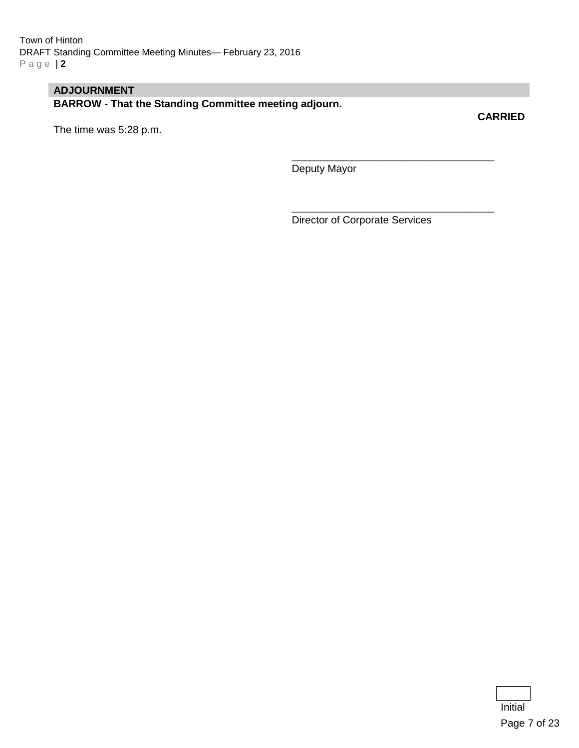## **ADJOURNMENT**

**BARROW - That the Standing Committee meeting adjourn.**

The time was 5:28 p.m.

**CARRIED**

Deputy Mayor

Director of Corporate Services

\_\_\_\_\_\_\_\_\_\_\_\_\_\_\_\_\_\_\_\_\_\_\_\_\_\_\_\_\_\_\_\_\_\_\_

\_\_\_\_\_\_\_\_\_\_\_\_\_\_\_\_\_\_\_\_\_\_\_\_\_\_\_\_\_\_\_\_\_\_\_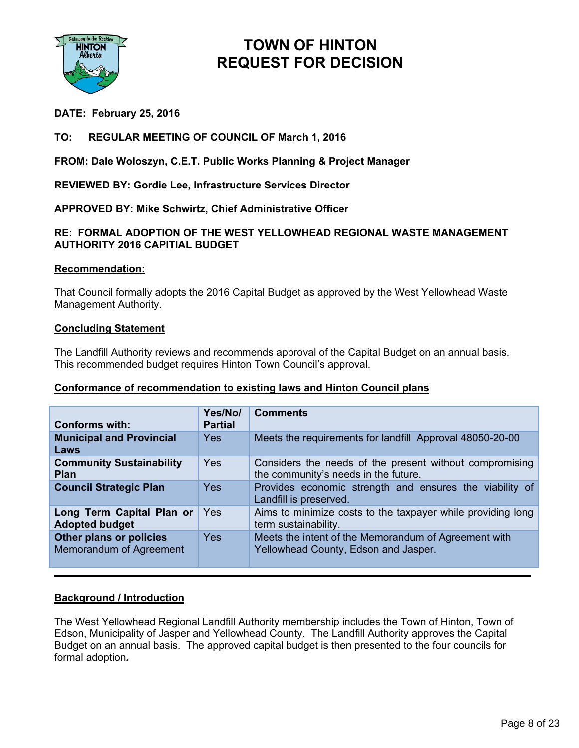

## **DATE: February 25, 2016**

## **TO: REGULAR MEETING OF COUNCIL OF March 1, 2016**

**FROM: Dale Woloszyn, C.E.T. Public Works Planning & Project Manager**

**REVIEWED BY: Gordie Lee, Infrastructure Services Director**

**APPROVED BY: Mike Schwirtz, Chief Administrative Officer**

### **RE: FORMAL ADOPTION OF THE WEST YELLOWHEAD REGIONAL WASTE MANAGEMENT AUTHORITY 2016 CAPITIAL BUDGET**

#### **Recommendation:**

That Council formally adopts the 2016 Capital Budget as approved by the West Yellowhead Waste Management Authority.

#### **Concluding Statement**

The Landfill Authority reviews and recommends approval of the Capital Budget on an annual basis. This recommended budget requires Hinton Town Council's approval.

#### **Conformance of recommendation to existing laws and Hinton Council plans**

| <b>Conforms with:</b>                              | Yes/No/<br><b>Partial</b> | <b>Comments</b>                                                                                 |
|----------------------------------------------------|---------------------------|-------------------------------------------------------------------------------------------------|
| <b>Municipal and Provincial</b><br>Laws            | <b>Yes</b>                | Meets the requirements for landfill Approval 48050-20-00                                        |
| <b>Community Sustainability</b><br><b>Plan</b>     | Yes                       | Considers the needs of the present without compromising<br>the community's needs in the future. |
| <b>Council Strategic Plan</b>                      | <b>Yes</b>                | Provides economic strength and ensures the viability of<br>Landfill is preserved.               |
| Long Term Capital Plan or<br><b>Adopted budget</b> | Yes                       | Aims to minimize costs to the taxpayer while providing long<br>term sustainability.             |
| Other plans or policies<br>Memorandum of Agreement | Yes                       | Meets the intent of the Memorandum of Agreement with<br>Yellowhead County, Edson and Jasper.    |

#### **Background / Introduction**

The West Yellowhead Regional Landfill Authority membership includes the Town of Hinton, Town of Edson, Municipality of Jasper and Yellowhead County. The Landfill Authority approves the Capital Budget on an annual basis. The approved capital budget is then presented to the four councils for formal adoption*.*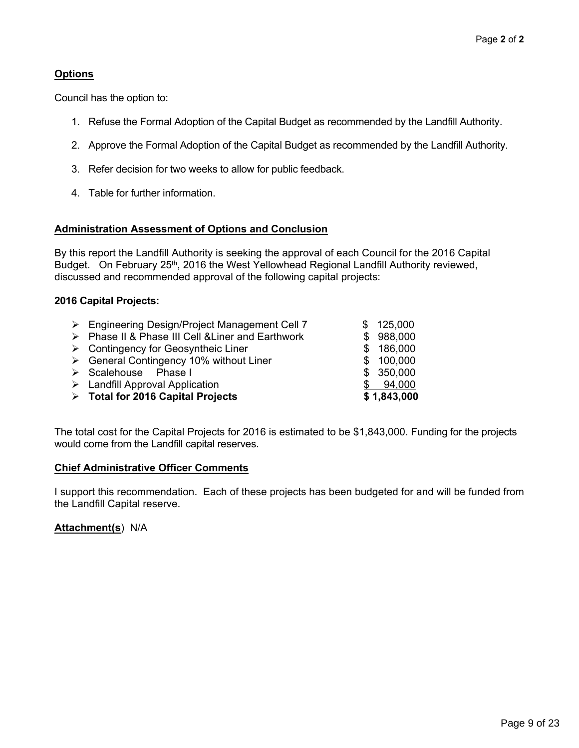## **Options**

Council has the option to:

- 1. Refuse the Formal Adoption of the Capital Budget as recommended by the Landfill Authority.
- 2. Approve the Formal Adoption of the Capital Budget as recommended by the Landfill Authority.
- 3. Refer decision for two weeks to allow for public feedback.
- 4. Table for further information.

## **Administration Assessment of Options and Conclusion**

By this report the Landfill Authority is seeking the approval of each Council for the 2016 Capital Budget. On February 25<sup>th</sup>, 2016 the West Yellowhead Regional Landfill Authority reviewed, discussed and recommended approval of the following capital projects:

## **2016 Capital Projects:**

| $\triangleright$ Engineering Design/Project Management Cell 7 | \$125,000   |
|---------------------------------------------------------------|-------------|
| > Phase II & Phase III Cell & Liner and Earthwork             | \$988,000   |
| $\triangleright$ Contingency for Geosyntheic Liner            | \$186,000   |
| $\triangleright$ General Contingency 10% without Liner        | \$100,000   |
| > Scalehouse Phase I                                          | \$350,000   |
| $\triangleright$ Landfill Approval Application                | 94,000      |
| $\triangleright$ Total for 2016 Capital Projects              | \$1,843,000 |

The total cost for the Capital Projects for 2016 is estimated to be \$1,843,000. Funding for the projects would come from the Landfill capital reserves.

## **Chief Administrative Officer Comments**

I support this recommendation. Each of these projects has been budgeted for and will be funded from the Landfill Capital reserve.

**Attachment(s**) N/A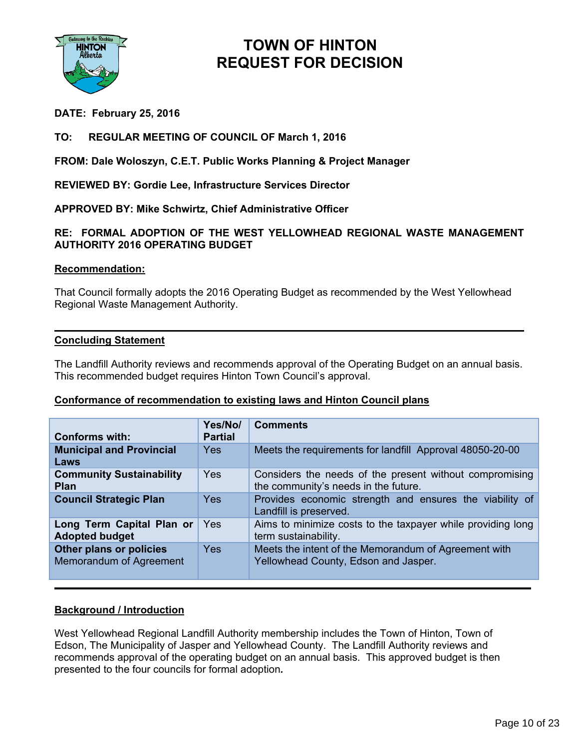

## **DATE: February 25, 2016**

## **TO: REGULAR MEETING OF COUNCIL OF March 1, 2016**

**FROM: Dale Woloszyn, C.E.T. Public Works Planning & Project Manager**

**REVIEWED BY: Gordie Lee, Infrastructure Services Director**

**APPROVED BY: Mike Schwirtz, Chief Administrative Officer**

### **RE: FORMAL ADOPTION OF THE WEST YELLOWHEAD REGIONAL WASTE MANAGEMENT AUTHORITY 2016 OPERATING BUDGET**

#### **Recommendation:**

That Council formally adopts the 2016 Operating Budget as recommended by the West Yellowhead Regional Waste Management Authority.

#### **Concluding Statement**

The Landfill Authority reviews and recommends approval of the Operating Budget on an annual basis. This recommended budget requires Hinton Town Council's approval.

## **Conformance of recommendation to existing laws and Hinton Council plans**

| <b>Conforms with:</b>                              | Yes/No/<br><b>Partial</b> | <b>Comments</b>                                                                                 |
|----------------------------------------------------|---------------------------|-------------------------------------------------------------------------------------------------|
| <b>Municipal and Provincial</b><br>Laws            | <b>Yes</b>                | Meets the requirements for landfill Approval 48050-20-00                                        |
| <b>Community Sustainability</b><br><b>Plan</b>     | Yes                       | Considers the needs of the present without compromising<br>the community's needs in the future. |
| <b>Council Strategic Plan</b>                      | <b>Yes</b>                | Provides economic strength and ensures the viability of<br>Landfill is preserved.               |
| Long Term Capital Plan or<br><b>Adopted budget</b> | Yes                       | Aims to minimize costs to the taxpayer while providing long<br>term sustainability.             |
| Other plans or policies<br>Memorandum of Agreement | <b>Yes</b>                | Meets the intent of the Memorandum of Agreement with<br>Yellowhead County, Edson and Jasper.    |

## **Background / Introduction**

West Yellowhead Regional Landfill Authority membership includes the Town of Hinton, Town of Edson, The Municipality of Jasper and Yellowhead County. The Landfill Authority reviews and recommends approval of the operating budget on an annual basis. This approved budget is then presented to the four councils for formal adoption*.*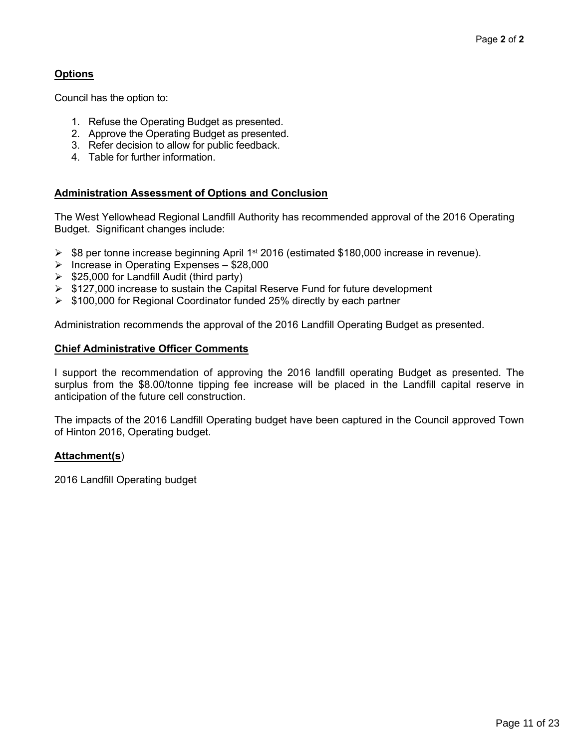## **Options**

Council has the option to:

- 1. Refuse the Operating Budget as presented.
- 2. Approve the Operating Budget as presented.
- 3. Refer decision to allow for public feedback.
- 4. Table for further information.

## **Administration Assessment of Options and Conclusion**

The West Yellowhead Regional Landfill Authority has recommended approval of the 2016 Operating Budget. Significant changes include:

- **► \$8 per tonne increase beginning April 1<sup>st</sup> 2016 (estimated \$180,000 increase in revenue).**
- $\triangleright$  Increase in Operating Expenses \$28,000
- $\geq$  \$25,000 for Landfill Audit (third party)
- $\triangleright$  \$127,000 increase to sustain the Capital Reserve Fund for future development
- $\triangleright$  \$100,000 for Regional Coordinator funded 25% directly by each partner

Administration recommends the approval of the 2016 Landfill Operating Budget as presented.

#### **Chief Administrative Officer Comments**

I support the recommendation of approving the 2016 landfill operating Budget as presented. The surplus from the \$8.00/tonne tipping fee increase will be placed in the Landfill capital reserve in anticipation of the future cell construction.

The impacts of the 2016 Landfill Operating budget have been captured in the Council approved Town of Hinton 2016, Operating budget.

## **Attachment(s**)

2016 Landfill Operating budget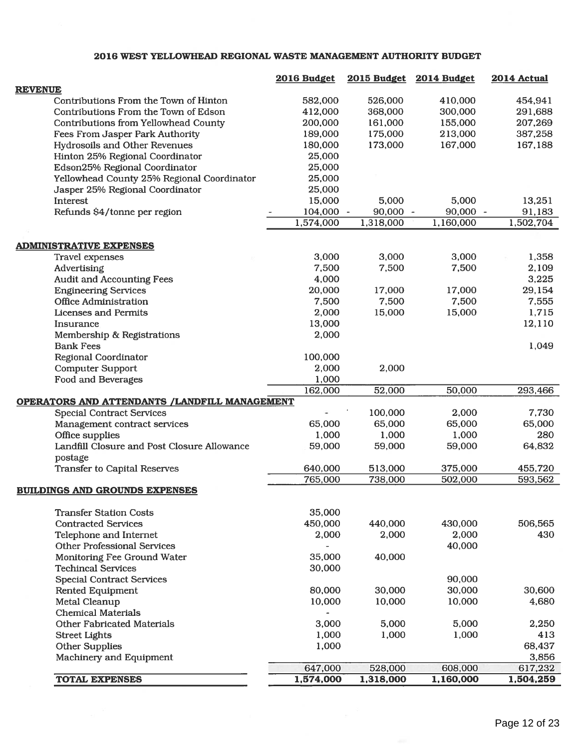#### 2016 WEST YELLOWHEAD REGIONAL WASTE MANAGEMENT AUTHORITY BUDGET

|                                |                                               | 2016 Budget              | 2015 Budget | 2014 Budget | 2014 Actual      |
|--------------------------------|-----------------------------------------------|--------------------------|-------------|-------------|------------------|
| <b>REVENUE</b>                 |                                               |                          |             |             |                  |
|                                | Contributions From the Town of Hinton         | 582,000                  | 526,000     | 410,000     | 454,941          |
|                                | Contributions From the Town of Edson          | 412,000                  | 368,000     | 300,000     | 291,688          |
|                                | Contributions from Yellowhead County          | 200,000                  | 161,000     | 155,000     | 207,269          |
|                                | Fees From Jasper Park Authority               | 189,000                  | 175,000     | 213,000     | 387,258          |
|                                | Hydrosoils and Other Revenues                 | 180,000                  | 173,000     | 167,000     | 167,188          |
|                                | Hinton 25% Regional Coordinator               | 25,000                   |             |             |                  |
|                                | Edson25% Regional Coordinator                 | 25,000                   |             |             |                  |
|                                | Yellowhead County 25% Regional Coordinator    | 25,000                   |             |             |                  |
|                                | Jasper 25% Regional Coordinator               | 25,000                   |             |             |                  |
| Interest                       |                                               | 15,000                   | 5,000       | 5,000       | 13,251           |
|                                | Refunds \$4/tonne per region                  | 104,000 -                | $90,000 -$  | $90,000 -$  | 91,183           |
|                                |                                               | 1,574,000                | 1,318,000   | 1,160,000   | 1,502,704        |
|                                |                                               |                          |             |             |                  |
| <b>ADMINISTRATIVE EXPENSES</b> |                                               |                          |             |             |                  |
| <b>Travel expenses</b>         |                                               | 3,000                    | 3,000       | 3,000       | 1,358            |
| Advertising                    |                                               | 7,500                    | 7,500       | 7,500       | 2,109            |
|                                | <b>Audit and Accounting Fees</b>              | 4,000                    |             |             | 3,225            |
| <b>Engineering Services</b>    |                                               | 20,000                   | 17,000      | 17,000      | 29,154           |
| <b>Office Administration</b>   |                                               | 7,500                    | 7,500       | 7,500       | 7,555            |
| Licenses and Permits           |                                               | 2,000                    | 15,000      | 15,000      | 1,715            |
| Insurance                      |                                               | 13,000                   |             |             | 12,110           |
|                                | Membership & Registrations                    | 2,000                    |             |             |                  |
| <b>Bank Fees</b>               |                                               |                          |             |             | 1,049            |
| Regional Coordinator           |                                               | 100,000                  |             |             |                  |
| <b>Computer Support</b>        |                                               | 2,000                    | 2,000       |             |                  |
| <b>Food and Beverages</b>      |                                               | 1,000                    |             | 50,000      |                  |
|                                | OPERATORS AND ATTENDANTS /LANDFILL MANAGEMENT | 162,000                  | 52,000      |             | 293,466          |
|                                | <b>Special Contract Services</b>              |                          | 100,000     | 2,000       | 7,730            |
|                                | Management contract services                  | 65,000                   | 65,000      | 65,000      | 65,000           |
| Office supplies                |                                               | 1,000                    | 1,000       | 1,000       | 280              |
|                                | Landfill Closure and Post Closure Allowance   | 59,000                   | 59,000      | 59,000      | 64,832           |
| postage                        |                                               |                          |             |             |                  |
|                                | <b>Transfer to Capital Reserves</b>           | 640,000                  | 513,000     | 375,000     | 455,720          |
|                                |                                               | 765,000                  | 738,000     | 502,000     | 593,562          |
|                                | <b>BUILDINGS AND GROUNDS EXPENSES</b>         |                          |             |             |                  |
|                                |                                               |                          |             |             |                  |
|                                | <b>Transfer Station Costs</b>                 | 35,000                   |             |             |                  |
| <b>Contracted Services</b>     |                                               | 450,000                  | 440,000     | 430,000     | 506,565          |
|                                | Telephone and Internet                        | 2,000                    | 2,000       | 2,000       | 430              |
|                                | <b>Other Professional Services</b>            | $\frac{1}{2}$            |             | 40,000      |                  |
|                                | Monitoring Fee Ground Water                   | 35,000                   | 40,000      |             |                  |
| <b>Techincal Services</b>      |                                               | 30,000                   |             |             |                  |
|                                | <b>Special Contract Services</b>              |                          |             | 90,000      |                  |
| Rented Equipment               |                                               | 80,000                   | 30,000      | 30,000      | 30,600           |
| Metal Cleanup                  |                                               | 10,000                   | 10,000      | 10,000      | 4,680            |
| <b>Chemical Materials</b>      |                                               | $\overline{\phantom{0}}$ |             |             |                  |
|                                | <b>Other Fabricated Materials</b>             | 3,000                    | 5,000       | 5,000       | 2,250            |
| <b>Street Lights</b>           |                                               | 1,000                    | 1,000       | 1,000       | 413              |
| <b>Other Supplies</b>          |                                               | 1,000                    |             |             | 68,437           |
|                                | Machinery and Equipment                       | 647,000                  | 528,000     | 608,000     | 3,856<br>617,232 |
| <b>TOTAL EXPENSES</b>          |                                               | 1,574,000                | 1,318,000   | 1,160,000   | 1,504,259        |
|                                |                                               |                          |             |             |                  |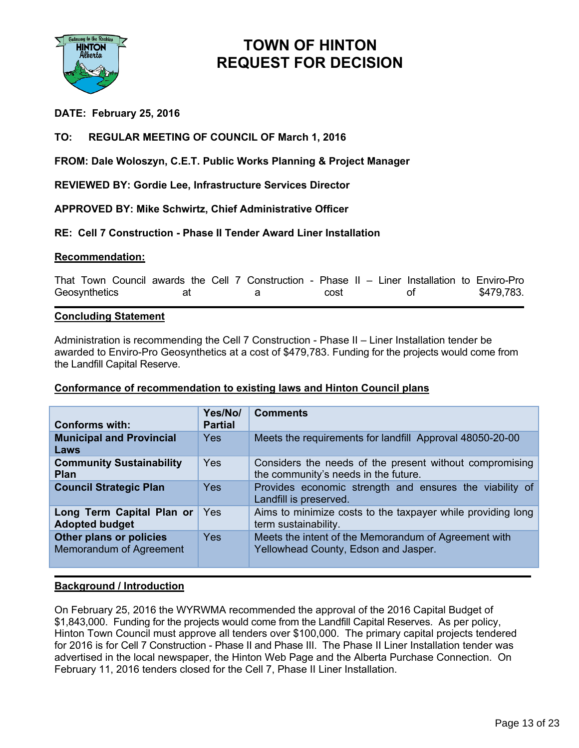

## **DATE: February 25, 2016**

## **TO: REGULAR MEETING OF COUNCIL OF March 1, 2016**

## **FROM: Dale Woloszyn, C.E.T. Public Works Planning & Project Manager**

## **REVIEWED BY: Gordie Lee, Infrastructure Services Director**

## **APPROVED BY: Mike Schwirtz, Chief Administrative Officer**

## **RE: Cell 7 Construction - Phase II Tender Award Liner Installation**

#### **Recommendation:**

That Town Council awards the Cell 7 Construction - Phase II – Liner Installation to Enviro-Pro Geosynthetics at a cost of \$479,783.

#### **Concluding Statement**

Administration is recommending the Cell 7 Construction - Phase II – Liner Installation tender be awarded to Enviro-Pro Geosynthetics at a cost of \$479,783. Funding for the projects would come from the Landfill Capital Reserve.

#### **Conformance of recommendation to existing laws and Hinton Council plans**

| <b>Conforms with:</b>                              | Yes/No/<br><b>Partial</b> | <b>Comments</b>                                                                                 |
|----------------------------------------------------|---------------------------|-------------------------------------------------------------------------------------------------|
| <b>Municipal and Provincial</b><br>Laws            | <b>Yes</b>                | Meets the requirements for landfill Approval 48050-20-00                                        |
| <b>Community Sustainability</b><br><b>Plan</b>     | <b>Yes</b>                | Considers the needs of the present without compromising<br>the community's needs in the future. |
| <b>Council Strategic Plan</b>                      | <b>Yes</b>                | Provides economic strength and ensures the viability of<br>Landfill is preserved.               |
| Long Term Capital Plan or<br><b>Adopted budget</b> | Yes                       | Aims to minimize costs to the taxpayer while providing long<br>term sustainability.             |
| Other plans or policies<br>Memorandum of Agreement | Yes                       | Meets the intent of the Memorandum of Agreement with<br>Yellowhead County, Edson and Jasper.    |

#### **Background / Introduction**

On February 25, 2016 the WYRWMA recommended the approval of the 2016 Capital Budget of \$1,843,000. Funding for the projects would come from the Landfill Capital Reserves. As per policy, Hinton Town Council must approve all tenders over \$100,000. The primary capital projects tendered for 2016 is for Cell 7 Construction - Phase II and Phase III. The Phase II Liner Installation tender was advertised in the local newspaper, the Hinton Web Page and the Alberta Purchase Connection. On February 11, 2016 tenders closed for the Cell 7, Phase II Liner Installation.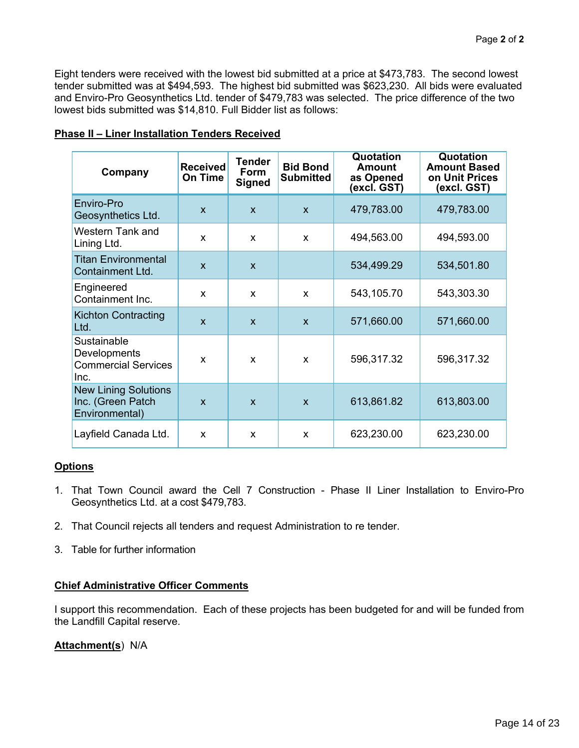Eight tenders were received with the lowest bid submitted at a price at \$473,783. The second lowest tender submitted was at \$494,593. The highest bid submitted was \$623,230. All bids were evaluated and Enviro-Pro Geosynthetics Ltd. tender of \$479,783 was selected. The price difference of the two lowest bids submitted was \$14,810. Full Bidder list as follows:

|  | <b>Phase II - Liner Installation Tenders Received</b> |  |
|--|-------------------------------------------------------|--|
|  |                                                       |  |

| Company                                                            | <b>Received</b><br><b>On Time</b> | <b>Tender</b><br><b>Form</b><br><b>Signed</b> | <b>Bid Bond</b><br><b>Submitted</b> | Quotation<br><b>Amount</b><br>as Opened<br>(excl. GST) | Quotation<br><b>Amount Based</b><br>on Unit Prices<br>(excl. GST) |
|--------------------------------------------------------------------|-----------------------------------|-----------------------------------------------|-------------------------------------|--------------------------------------------------------|-------------------------------------------------------------------|
| Enviro-Pro<br>Geosynthetics Ltd.                                   | $\mathbf{x}$                      | $\mathbf{x}$                                  | $\mathsf{x}$                        | 479,783.00                                             | 479,783.00                                                        |
| Western Tank and<br>Lining Ltd.                                    | X                                 | X                                             | X                                   | 494,563.00                                             | 494,593.00                                                        |
| <b>Titan Environmental</b><br>Containment Ltd.                     | $\mathsf{x}$                      | $\mathsf{x}$                                  |                                     | 534,499.29                                             | 534,501.80                                                        |
| Engineered<br>Containment Inc.                                     | X                                 | X                                             | X                                   | 543,105.70                                             | 543,303.30                                                        |
| <b>Kichton Contracting</b><br>Ltd.                                 | $\mathbf{x}$                      | $\mathbf{x}$                                  | $\mathsf{x}$                        | 571,660.00                                             | 571,660.00                                                        |
| Sustainable<br>Developments<br><b>Commercial Services</b><br>Inc.  | X                                 | X                                             | X                                   | 596,317.32                                             | 596,317.32                                                        |
| <b>New Lining Solutions</b><br>Inc. (Green Patch<br>Environmental) | X                                 | $\mathsf{x}$                                  | $\mathsf{x}$                        | 613,861.82                                             | 613,803.00                                                        |
| Layfield Canada Ltd.                                               | X                                 | X                                             | X                                   | 623,230.00                                             | 623,230.00                                                        |

## **Options**

- 1. That Town Council award the Cell 7 Construction Phase II Liner Installation to Enviro-Pro Geosynthetics Ltd. at a cost \$479,783.
- 2. That Council rejects all tenders and request Administration to re tender.
- 3. Table for further information

## **Chief Administrative Officer Comments**

I support this recommendation. Each of these projects has been budgeted for and will be funded from the Landfill Capital reserve.

## **Attachment(s**) N/A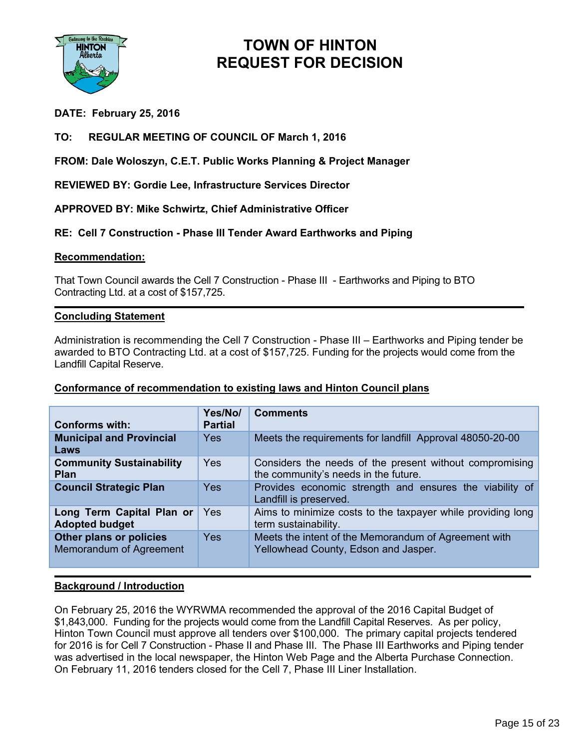

## **DATE: February 25, 2016**

## **TO: REGULAR MEETING OF COUNCIL OF March 1, 2016**

**FROM: Dale Woloszyn, C.E.T. Public Works Planning & Project Manager**

**REVIEWED BY: Gordie Lee, Infrastructure Services Director**

**APPROVED BY: Mike Schwirtz, Chief Administrative Officer**

## **RE: Cell 7 Construction - Phase III Tender Award Earthworks and Piping**

#### **Recommendation:**

That Town Council awards the Cell 7 Construction - Phase III - Earthworks and Piping to BTO Contracting Ltd. at a cost of \$157,725.

#### **Concluding Statement**

Administration is recommending the Cell 7 Construction - Phase III – Earthworks and Piping tender be awarded to BTO Contracting Ltd. at a cost of \$157,725. Funding for the projects would come from the Landfill Capital Reserve.

#### **Conformance of recommendation to existing laws and Hinton Council plans**

|                                                    | Yes/No/        | <b>Comments</b>                                                                                 |
|----------------------------------------------------|----------------|-------------------------------------------------------------------------------------------------|
| Conforms with:                                     | <b>Partial</b> |                                                                                                 |
| <b>Municipal and Provincial</b><br>Laws            | <b>Yes</b>     | Meets the requirements for landfill Approval 48050-20-00                                        |
| <b>Community Sustainability</b><br><b>Plan</b>     | Yes            | Considers the needs of the present without compromising<br>the community's needs in the future. |
| <b>Council Strategic Plan</b>                      | <b>Yes</b>     | Provides economic strength and ensures the viability of<br>Landfill is preserved.               |
| Long Term Capital Plan or<br><b>Adopted budget</b> | Yes            | Aims to minimize costs to the taxpayer while providing long<br>term sustainability.             |
| Other plans or policies<br>Memorandum of Agreement | <b>Yes</b>     | Meets the intent of the Memorandum of Agreement with<br>Yellowhead County, Edson and Jasper.    |

#### **Background / Introduction**

On February 25, 2016 the WYRWMA recommended the approval of the 2016 Capital Budget of \$1,843,000. Funding for the projects would come from the Landfill Capital Reserves. As per policy, Hinton Town Council must approve all tenders over \$100,000. The primary capital projects tendered for 2016 is for Cell 7 Construction - Phase II and Phase III. The Phase III Earthworks and Piping tender was advertised in the local newspaper, the Hinton Web Page and the Alberta Purchase Connection. On February 11, 2016 tenders closed for the Cell 7, Phase III Liner Installation.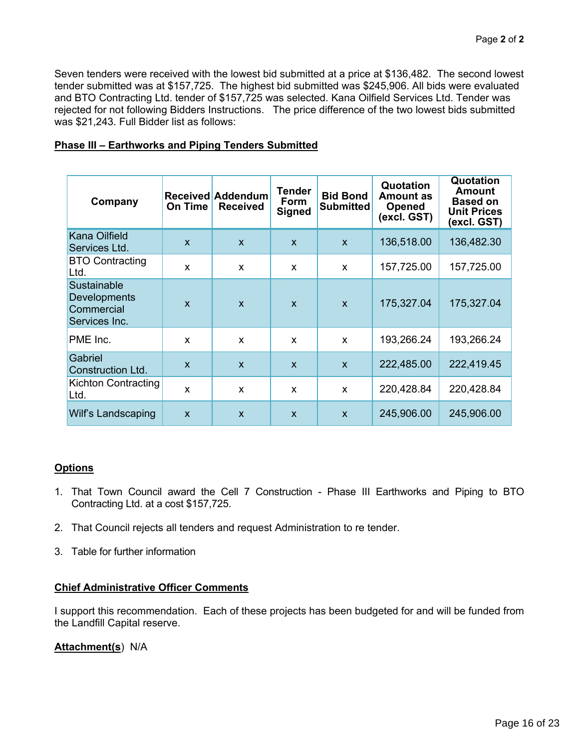Seven tenders were received with the lowest bid submitted at a price at \$136,482. The second lowest tender submitted was at \$157,725. The highest bid submitted was \$245,906. All bids were evaluated and BTO Contracting Ltd. tender of \$157,725 was selected. Kana Oilfield Services Ltd. Tender was rejected for not following Bidders Instructions. The price difference of the two lowest bids submitted was \$21,243. Full Bidder list as follows:

| Company                                                    | On Time      | <b>Received Addendum</b><br><b>Received</b> | Tender<br>Form<br><b>Signed</b> | <b>Bid Bond</b><br><b>Submitted</b> | Quotation<br><b>Amount as</b><br><b>Opened</b><br>(excl. GST) | Quotation<br>Amount<br><b>Based on</b><br><b>Unit Prices</b><br>(excl. GST) |
|------------------------------------------------------------|--------------|---------------------------------------------|---------------------------------|-------------------------------------|---------------------------------------------------------------|-----------------------------------------------------------------------------|
| Kana Oilfield<br>Services Ltd.                             | $\mathsf{x}$ | $\mathsf{x}$                                | $\mathsf{x}$                    | $\mathsf{x}$                        | 136,518.00                                                    | 136,482.30                                                                  |
| <b>BTO Contracting</b><br>Ltd.                             | X            | X                                           | X                               | X                                   | 157,725.00                                                    | 157,725.00                                                                  |
| Sustainable<br>Developments<br>Commercial<br>Services Inc. | $\mathsf{x}$ | $\mathbf{x}$                                | $\mathbf{x}$                    | $\mathbf{x}$                        | 175,327.04                                                    | 175,327.04                                                                  |
| PME Inc.                                                   | X            | X                                           | X                               | $\mathsf{x}$                        | 193,266.24                                                    | 193,266.24                                                                  |
| Gabriel<br><b>Construction Ltd.</b>                        | $\mathsf{x}$ | $\mathbf{x}$                                | $\mathsf{x}$                    | $\mathsf{x}$                        | 222,485.00                                                    | 222,419.45                                                                  |
| Kichton Contracting<br>Ltd.                                | X            | X                                           | X                               | X                                   | 220,428.84                                                    | 220,428.84                                                                  |
| Wilf's Landscaping                                         | X            | $\mathsf{x}$                                | $\mathbf{x}$                    | $\mathbf{x}$                        | 245,906.00                                                    | 245,906.00                                                                  |

#### **Phase III – Earthworks and Piping Tenders Submitted**

#### **Options**

- 1. That Town Council award the Cell 7 Construction Phase III Earthworks and Piping to BTO Contracting Ltd. at a cost \$157,725.
- 2. That Council rejects all tenders and request Administration to re tender.
- 3. Table for further information

## **Chief Administrative Officer Comments**

I support this recommendation. Each of these projects has been budgeted for and will be funded from the Landfill Capital reserve.

#### **Attachment(s**) N/A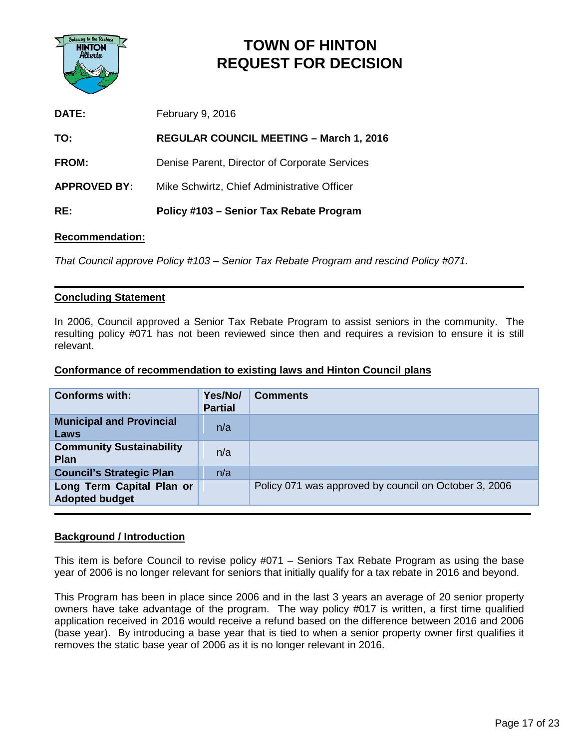

| RE:                 | Policy #103 – Senior Tax Rebate Program        |
|---------------------|------------------------------------------------|
| <b>APPROVED BY:</b> | Mike Schwirtz, Chief Administrative Officer    |
| <b>FROM:</b>        | Denise Parent, Director of Corporate Services  |
| TO:                 | <b>REGULAR COUNCIL MEETING - March 1, 2016</b> |
| DATE:               | February 9, 2016                               |

#### **Recommendation:**

*That Council approve Policy #103 – Senior Tax Rebate Program and rescind Policy #071.*

#### **Concluding Statement**

In 2006, Council approved a Senior Tax Rebate Program to assist seniors in the community. The resulting policy #071 has not been reviewed since then and requires a revision to ensure it is still relevant.

#### **Conformance of recommendation to existing laws and Hinton Council plans**

| <b>Conforms with:</b>                              | Yes/No/<br><b>Partial</b> | <b>Comments</b>                                       |
|----------------------------------------------------|---------------------------|-------------------------------------------------------|
| <b>Municipal and Provincial</b><br>Laws            | n/a                       |                                                       |
| <b>Community Sustainability</b><br><b>Plan</b>     | n/a                       |                                                       |
| <b>Council's Strategic Plan</b>                    | n/a                       |                                                       |
| Long Term Capital Plan or<br><b>Adopted budget</b> |                           | Policy 071 was approved by council on October 3, 2006 |

#### **Background / Introduction**

This item is before Council to revise policy #071 – Seniors Tax Rebate Program as using the base year of 2006 is no longer relevant for seniors that initially qualify for a tax rebate in 2016 and beyond.

This Program has been in place since 2006 and in the last 3 years an average of 20 senior property owners have take advantage of the program. The way policy #017 is written, a first time qualified application received in 2016 would receive a refund based on the difference between 2016 and 2006 (base year). By introducing a base year that is tied to when a senior property owner first qualifies it removes the static base year of 2006 as it is no longer relevant in 2016.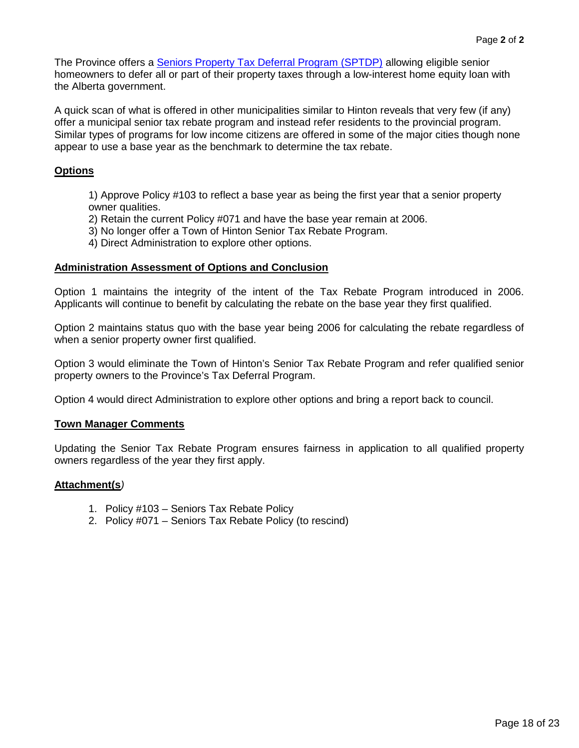The Province offers a **Seniors Property Tax Deferral Program (SPTDP)** allowing eligible senior homeowners to defer all or part of their property taxes through a low-interest home equity loan with the Alberta government.

A quick scan of what is offered in other municipalities similar to Hinton reveals that very few (if any) offer a municipal senior tax rebate program and instead refer residents to the provincial program. Similar types of programs for low income citizens are offered in some of the major cities though none appear to use a base year as the benchmark to determine the tax rebate.

## **Options**

1) Approve Policy #103 to reflect a base year as being the first year that a senior property owner qualities.

2) Retain the current Policy #071 and have the base year remain at 2006.

3) No longer offer a Town of Hinton Senior Tax Rebate Program.

4) Direct Administration to explore other options.

#### **Administration Assessment of Options and Conclusion**

Option 1 maintains the integrity of the intent of the Tax Rebate Program introduced in 2006. Applicants will continue to benefit by calculating the rebate on the base year they first qualified.

Option 2 maintains status quo with the base year being 2006 for calculating the rebate regardless of when a senior property owner first qualified.

Option 3 would eliminate the Town of Hinton's Senior Tax Rebate Program and refer qualified senior property owners to the Province's Tax Deferral Program.

Option 4 would direct Administration to explore other options and bring a report back to council.

#### **Town Manager Comments**

Updating the Senior Tax Rebate Program ensures fairness in application to all qualified property owners regardless of the year they first apply.

#### **Attachment(s***)*

- 1. Policy #103 Seniors Tax Rebate Policy
- 2. Policy #071 Seniors Tax Rebate Policy (to rescind)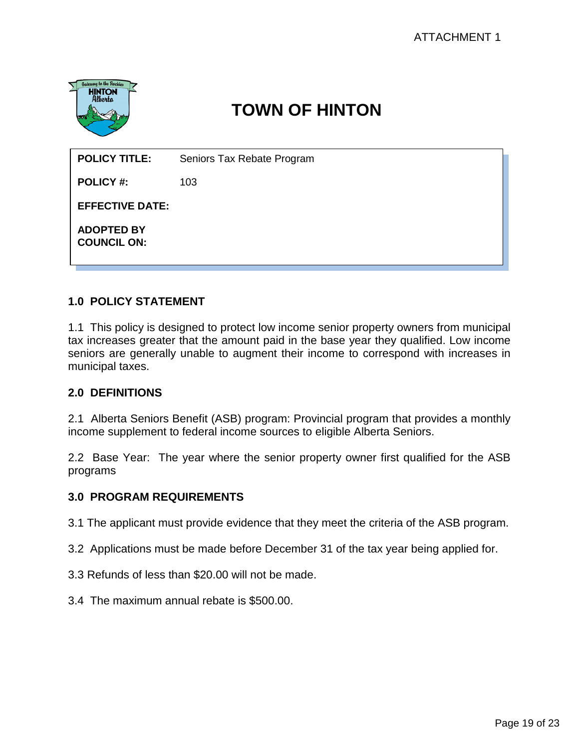

## **1.0 POLICY STATEMENT**

1.1 This policy is designed to protect low income senior property owners from municipal tax increases greater that the amount paid in the base year they qualified. Low income seniors are generally unable to augment their income to correspond with increases in municipal taxes.

## **2.0 DEFINITIONS**

2.1 Alberta Seniors Benefit (ASB) program: Provincial program that provides a monthly income supplement to federal income sources to eligible Alberta Seniors.

2.2 Base Year: The year where the senior property owner first qualified for the ASB programs

#### **3.0 PROGRAM REQUIREMENTS**

3.1 The applicant must provide evidence that they meet the criteria of the ASB program.

- 3.2 Applications must be made before December 31 of the tax year being applied for.
- 3.3 Refunds of less than \$20.00 will not be made.
- 3.4 The maximum annual rebate is \$500.00.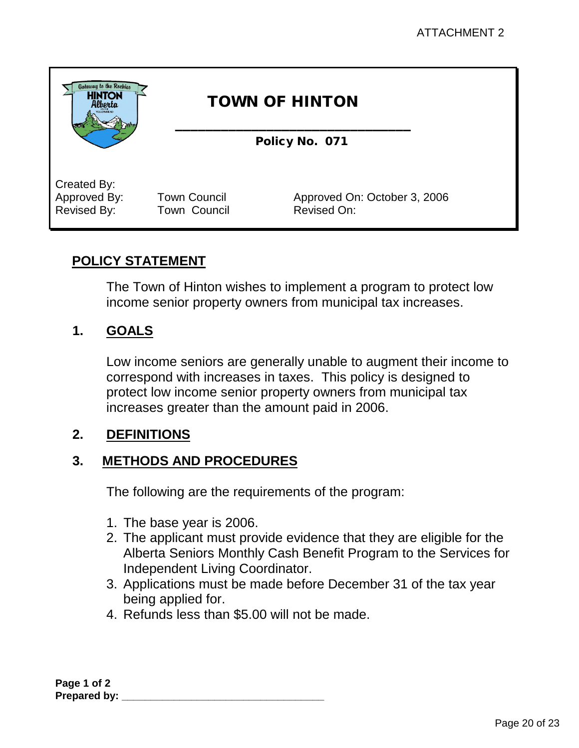

## **POLICY STATEMENT**

The Town of Hinton wishes to implement a program to protect low income senior property owners from municipal tax increases.

## **1. GOALS**

Low income seniors are generally unable to augment their income to correspond with increases in taxes. This policy is designed to protect low income senior property owners from municipal tax increases greater than the amount paid in 2006.

## **2. DEFINITIONS**

## **3. METHODS AND PROCEDURES**

The following are the requirements of the program:

- 1. The base year is 2006.
- 2. The applicant must provide evidence that they are eligible for the Alberta Seniors Monthly Cash Benefit Program to the Services for Independent Living Coordinator.
- 3. Applications must be made before December 31 of the tax year being applied for.
- 4. Refunds less than \$5.00 will not be made.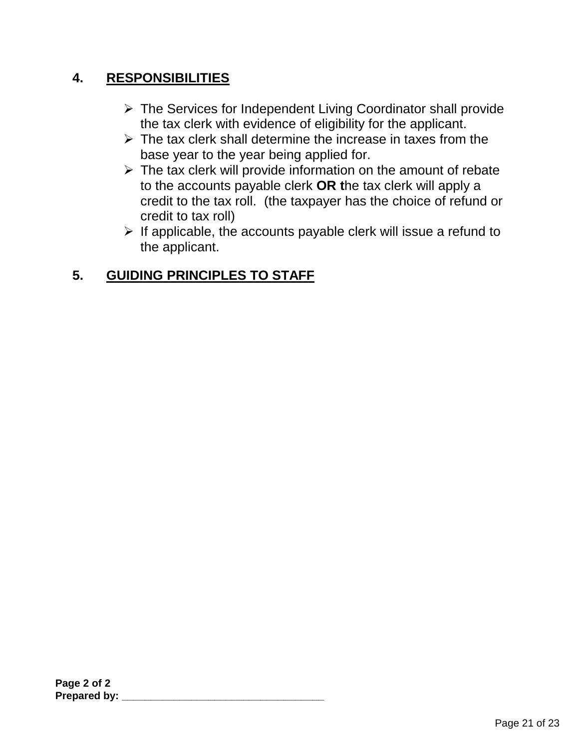## **4. RESPONSIBILITIES**

- $\triangleright$  The Services for Independent Living Coordinator shall provide the tax clerk with evidence of eligibility for the applicant.
- $\triangleright$  The tax clerk shall determine the increase in taxes from the base year to the year being applied for.
- $\triangleright$  The tax clerk will provide information on the amount of rebate to the accounts payable clerk **OR t**he tax clerk will apply a credit to the tax roll. (the taxpayer has the choice of refund or credit to tax roll)
- $\triangleright$  If applicable, the accounts payable clerk will issue a refund to the applicant.

## **5. GUIDING PRINCIPLES TO STAFF**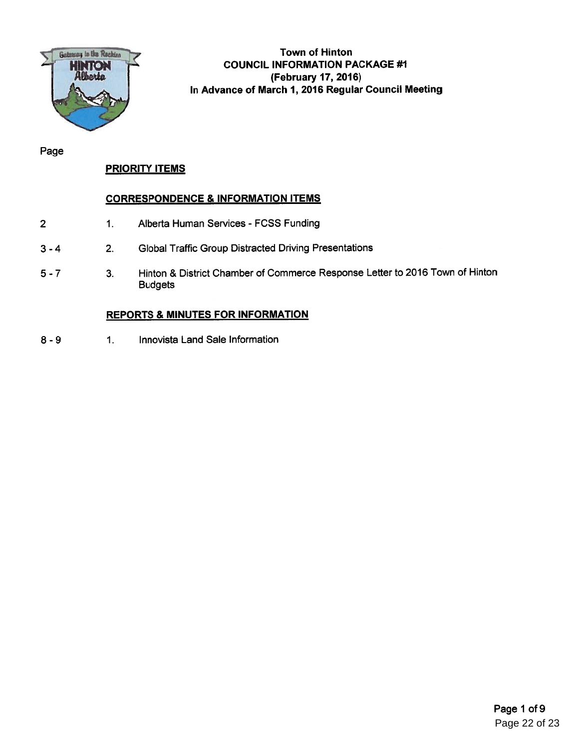

Town of Hinton COUNCIL INFORMATION PACKAGE #1 (February 17, 2016) In Advance of March 1, 2016 Regular Council Meeting

Page

## PRIORITY ITEMS

## CORRESPONDENCE & INFORMATION ITEMS

- 1. Alberta Human Services FCSS Funding 2
- 2. Global Traffic Group Distracted Driving Presentations 3-4
- 3. Hinton & District Chamber of Commerce Response Letter to 2016 Town of Hinton Budgets 5-7

## REPORTS & MINUTES FOR INFORMATION

8 - 9 1. Innovista Land Sale Information